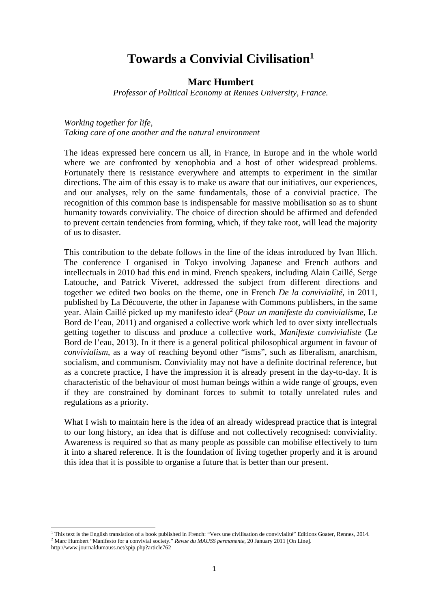# **Towards a Convivial Civilisation<sup>1</sup>**

# **Marc Humbert**

*Professor of Political Economy at Rennes University, France.* 

*Working together for life, Taking care of one another and the natural environment* 

The ideas expressed here concern us all, in France, in Europe and in the whole world where we are confronted by xenophobia and a host of other widespread problems. Fortunately there is resistance everywhere and attempts to experiment in the similar directions. The aim of this essay is to make us aware that our initiatives, our experiences, and our analyses, rely on the same fundamentals, those of a convivial practice. The recognition of this common base is indispensable for massive mobilisation so as to shunt humanity towards conviviality. The choice of direction should be affirmed and defended to prevent certain tendencies from forming, which, if they take root, will lead the majority of us to disaster.

This contribution to the debate follows in the line of the ideas introduced by Ivan Illich. The conference I organised in Tokyo involving Japanese and French authors and intellectuals in 2010 had this end in mind. French speakers, including Alain Caillé, Serge Latouche, and Patrick Viveret, addressed the subject from different directions and together we edited two books on the theme, one in French *De la convivialité*, in 2011, published by La Découverte, the other in Japanese with Commons publishers, in the same year. Alain Caillé picked up my manifesto idea<sup>2</sup> (*Pour un manifeste du convivialisme,* Le Bord de l'eau, 2011) and organised a collective work which led to over sixty intellectuals getting together to discuss and produce a collective work, *Manifeste convivialiste* (Le Bord de l'eau, 2013). In it there is a general political philosophical argument in favour of *convivialism*, as a way of reaching beyond other "isms", such as liberalism, anarchism, socialism, and communism. Conviviality may not have a definite doctrinal reference, but as a concrete practice, I have the impression it is already present in the day-to-day. It is characteristic of the behaviour of most human beings within a wide range of groups, even if they are constrained by dominant forces to submit to totally unrelated rules and regulations as a priority.

What I wish to maintain here is the idea of an already widespread practice that is integral to our long history, an idea that is diffuse and not collectively recognised: conviviality. Awareness is required so that as many people as possible can mobilise effectively to turn it into a shared reference. It is the foundation of living together properly and it is around this idea that it is possible to organise a future that is better than our present.

 $\overline{a}$ 

<sup>1</sup> This text is the English translation of a book published in French: "Vers une civilisation de convivialité" Editions Goater, Rennes, 2014. <sup>2</sup> Marc Humbert "Manifesto for a convivial society." *Revue du MAUSS permanente*, 20 January 2011 [On Line].

http://www.journaldumauss.net/spip.php?article762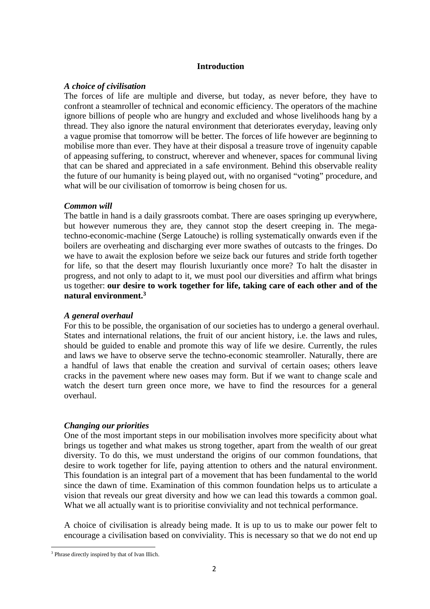#### **Introduction**

#### *A choice of civilisation*

The forces of life are multiple and diverse, but today, as never before, they have to confront a steamroller of technical and economic efficiency. The operators of the machine ignore billions of people who are hungry and excluded and whose livelihoods hang by a thread. They also ignore the natural environment that deteriorates everyday, leaving only a vague promise that tomorrow will be better. The forces of life however are beginning to mobilise more than ever. They have at their disposal a treasure trove of ingenuity capable of appeasing suffering, to construct, wherever and whenever, spaces for communal living that can be shared and appreciated in a safe environment. Behind this observable reality the future of our humanity is being played out, with no organised "voting" procedure, and what will be our civilisation of tomorrow is being chosen for us.

#### *Common will*

The battle in hand is a daily grassroots combat. There are oases springing up everywhere, but however numerous they are, they cannot stop the desert creeping in. The megatechno-economic-machine (Serge Latouche) is rolling systematically onwards even if the boilers are overheating and discharging ever more swathes of outcasts to the fringes. Do we have to await the explosion before we seize back our futures and stride forth together for life, so that the desert may flourish luxuriantly once more? To halt the disaster in progress, and not only to adapt to it, we must pool our diversities and affirm what brings us together: **our desire to work together for life, taking care of each other and of the natural environment.<sup>3</sup>**

## *A general overhaul*

For this to be possible, the organisation of our societies has to undergo a general overhaul. States and international relations, the fruit of our ancient history, i.e. the laws and rules, should be guided to enable and promote this way of life we desire. Currently, the rules and laws we have to observe serve the techno-economic steamroller. Naturally, there are a handful of laws that enable the creation and survival of certain oases; others leave cracks in the pavement where new oases may form. But if we want to change scale and watch the desert turn green once more, we have to find the resources for a general overhaul.

## *Changing our priorities*

One of the most important steps in our mobilisation involves more specificity about what brings us together and what makes us strong together, apart from the wealth of our great diversity. To do this, we must understand the origins of our common foundations, that desire to work together for life, paying attention to others and the natural environment. This foundation is an integral part of a movement that has been fundamental to the world since the dawn of time. Examination of this common foundation helps us to articulate a vision that reveals our great diversity and how we can lead this towards a common goal. What we all actually want is to prioritise conviviality and not technical performance.

A choice of civilisation is already being made. It is up to us to make our power felt to encourage a civilisation based on conviviality. This is necessary so that we do not end up

l

<sup>3</sup> Phrase directly inspired by that of Ivan Illich.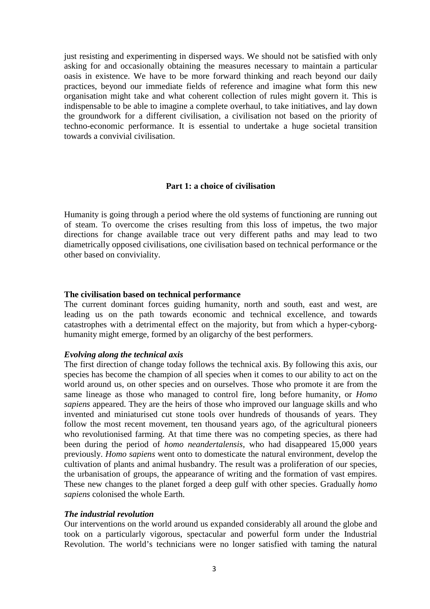just resisting and experimenting in dispersed ways. We should not be satisfied with only asking for and occasionally obtaining the measures necessary to maintain a particular oasis in existence. We have to be more forward thinking and reach beyond our daily practices, beyond our immediate fields of reference and imagine what form this new organisation might take and what coherent collection of rules might govern it. This is indispensable to be able to imagine a complete overhaul, to take initiatives, and lay down the groundwork for a different civilisation, a civilisation not based on the priority of techno-economic performance. It is essential to undertake a huge societal transition towards a convivial civilisation.

## **Part 1: a choice of civilisation**

Humanity is going through a period where the old systems of functioning are running out of steam. To overcome the crises resulting from this loss of impetus, the two major directions for change available trace out very different paths and may lead to two diametrically opposed civilisations, one civilisation based on technical performance or the other based on conviviality.

#### **The civilisation based on technical performance**

The current dominant forces guiding humanity, north and south, east and west, are leading us on the path towards economic and technical excellence, and towards catastrophes with a detrimental effect on the majority, but from which a hyper-cyborghumanity might emerge, formed by an oligarchy of the best performers.

#### *Evolving along the technical axis*

The first direction of change today follows the technical axis. By following this axis, our species has become the champion of all species when it comes to our ability to act on the world around us, on other species and on ourselves. Those who promote it are from the same lineage as those who managed to control fire, long before humanity, or *Homo sapiens* appeared. They are the heirs of those who improved our language skills and who invented and miniaturised cut stone tools over hundreds of thousands of years. They follow the most recent movement, ten thousand years ago, of the agricultural pioneers who revolutionised farming. At that time there was no competing species, as there had been during the period of *homo neandertalensis,* who had disappeared 15,000 years previously. *Homo sapiens* went onto to domesticate the natural environment, develop the cultivation of plants and animal husbandry. The result was a proliferation of our species, the urbanisation of groups, the appearance of writing and the formation of vast empires. These new changes to the planet forged a deep gulf with other species. Gradually *homo sapiens* colonised the whole Earth.

#### *The industrial revolution*

Our interventions on the world around us expanded considerably all around the globe and took on a particularly vigorous, spectacular and powerful form under the Industrial Revolution. The world's technicians were no longer satisfied with taming the natural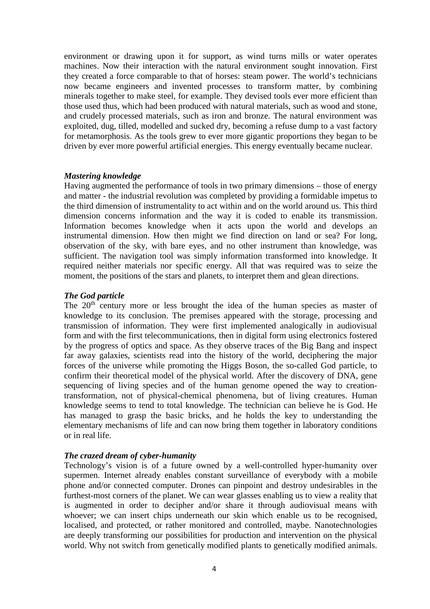environment or drawing upon it for support, as wind turns mills or water operates machines. Now their interaction with the natural environment sought innovation. First they created a force comparable to that of horses: steam power. The world's technicians now became engineers and invented processes to transform matter, by combining minerals together to make steel, for example. They devised tools ever more efficient than those used thus, which had been produced with natural materials, such as wood and stone, and crudely processed materials, such as iron and bronze. The natural environment was exploited, dug, tilled, modelled and sucked dry, becoming a refuse dump to a vast factory for metamorphosis. As the tools grew to ever more gigantic proportions they began to be driven by ever more powerful artificial energies. This energy eventually became nuclear.

#### *Mastering knowledge*

Having augmented the performance of tools in two primary dimensions – those of energy and matter - the industrial revolution was completed by providing a formidable impetus to the third dimension of instrumentality to act within and on the world around us. This third dimension concerns information and the way it is coded to enable its transmission. Information becomes knowledge when it acts upon the world and develops an instrumental dimension. How then might we find direction on land or sea? For long, observation of the sky, with bare eyes, and no other instrument than knowledge, was sufficient. The navigation tool was simply information transformed into knowledge. It required neither materials nor specific energy. All that was required was to seize the moment, the positions of the stars and planets, to interpret them and glean directions.

#### *The God particle*

The 20<sup>th</sup> century more or less brought the idea of the human species as master of knowledge to its conclusion. The premises appeared with the storage, processing and transmission of information. They were first implemented analogically in audiovisual form and with the first telecommunications, then in digital form using electronics fostered by the progress of optics and space. As they observe traces of the Big Bang and inspect far away galaxies, scientists read into the history of the world, deciphering the major forces of the universe while promoting the Higgs Boson, the so-called God particle, to confirm their theoretical model of the physical world. After the discovery of DNA, gene sequencing of living species and of the human genome opened the way to creationtransformation, not of physical-chemical phenomena, but of living creatures. Human knowledge seems to tend to total knowledge. The technician can believe he is God. He has managed to grasp the basic bricks, and he holds the key to understanding the elementary mechanisms of life and can now bring them together in laboratory conditions or in real life.

## *The crazed dream of cyber-humanity*

Technology's vision is of a future owned by a well-controlled hyper-humanity over supermen. Internet already enables constant surveillance of everybody with a mobile phone and/or connected computer. Drones can pinpoint and destroy undesirables in the furthest-most corners of the planet. We can wear glasses enabling us to view a reality that is augmented in order to decipher and/or share it through audiovisual means with whoever; we can insert chips underneath our skin which enable us to be recognised, localised, and protected, or rather monitored and controlled, maybe. Nanotechnologies are deeply transforming our possibilities for production and intervention on the physical world. Why not switch from genetically modified plants to genetically modified animals.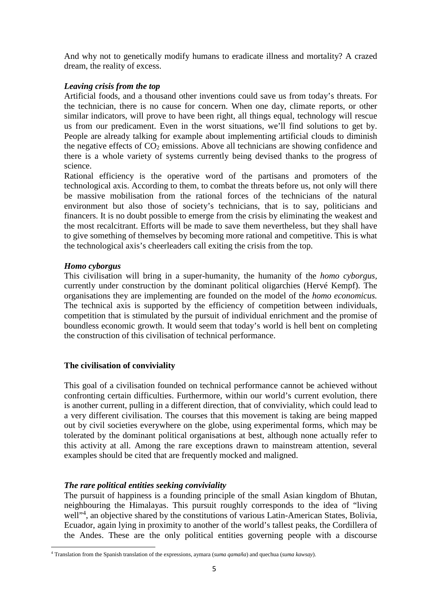And why not to genetically modify humans to eradicate illness and mortality? A crazed dream, the reality of excess.

# *Leaving crisis from the top*

Artificial foods, and a thousand other inventions could save us from today's threats. For the technician, there is no cause for concern. When one day, climate reports, or other similar indicators, will prove to have been right, all things equal, technology will rescue us from our predicament. Even in the worst situations, we'll find solutions to get by. People are already talking for example about implementing artificial clouds to diminish the negative effects of  $CO<sub>2</sub>$  emissions. Above all technicians are showing confidence and there is a whole variety of systems currently being devised thanks to the progress of science.

Rational efficiency is the operative word of the partisans and promoters of the technological axis. According to them, to combat the threats before us, not only will there be massive mobilisation from the rational forces of the technicians of the natural environment but also those of society's technicians, that is to say, politicians and financers. It is no doubt possible to emerge from the crisis by eliminating the weakest and the most recalcitrant. Efforts will be made to save them nevertheless, but they shall have to give something of themselves by becoming more rational and competitive. This is what the technological axis's cheerleaders call exiting the crisis from the top.

## *Homo cyborgus*

l

This civilisation will bring in a super-humanity, the humanity of the *homo cyborgus,* currently under construction by the dominant political oligarchies (Hervé Kempf). The organisations they are implementing are founded on the model of the *homo economicus.* The technical axis is supported by the efficiency of competition between individuals, competition that is stimulated by the pursuit of individual enrichment and the promise of boundless economic growth. It would seem that today's world is hell bent on completing the construction of this civilisation of technical performance.

## **The civilisation of conviviality**

This goal of a civilisation founded on technical performance cannot be achieved without confronting certain difficulties. Furthermore, within our world's current evolution, there is another current, pulling in a different direction, that of conviviality, which could lead to a very different civilisation. The courses that this movement is taking are being mapped out by civil societies everywhere on the globe, using experimental forms, which may be tolerated by the dominant political organisations at best, although none actually refer to this activity at all. Among the rare exceptions drawn to mainstream attention, several examples should be cited that are frequently mocked and maligned.

## *The rare political entities seeking conviviality*

The pursuit of happiness is a founding principle of the small Asian kingdom of Bhutan, neighbouring the Himalayas. This pursuit roughly corresponds to the idea of "living well"<sup>4</sup>, an objective shared by the constitutions of various Latin-American States, Bolivia, Ecuador, again lying in proximity to another of the world's tallest peaks, the Cordillera of the Andes. These are the only political entities governing people with a discourse

<sup>4</sup> Translation from the Spanish translation of the expressions, aymara (*suma qamaña*) and quechua (*suma kawsay*).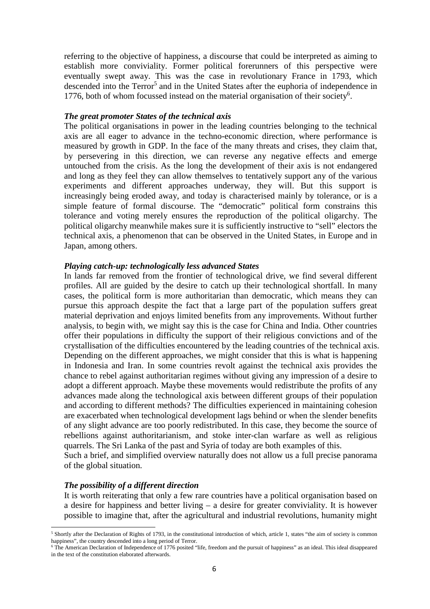referring to the objective of happiness, a discourse that could be interpreted as aiming to establish more conviviality. Former political forerunners of this perspective were eventually swept away. This was the case in revolutionary France in 1793, which descended into the Terror<sup>5</sup> and in the United States after the euphoria of independence in 1776, both of whom focussed instead on the material organisation of their society<sup>6</sup>.

#### *The great promoter States of the technical axis*

The political organisations in power in the leading countries belonging to the technical axis are all eager to advance in the techno-economic direction, where performance is measured by growth in GDP. In the face of the many threats and crises, they claim that, by persevering in this direction, we can reverse any negative effects and emerge untouched from the crisis. As the long the development of their axis is not endangered and long as they feel they can allow themselves to tentatively support any of the various experiments and different approaches underway, they will. But this support is increasingly being eroded away, and today is characterised mainly by tolerance, or is a simple feature of formal discourse. The "democratic" political form constrains this tolerance and voting merely ensures the reproduction of the political oligarchy. The political oligarchy meanwhile makes sure it is sufficiently instructive to "sell" electors the technical axis, a phenomenon that can be observed in the United States, in Europe and in Japan, among others.

#### *Playing catch-up: technologically less advanced States*

In lands far removed from the frontier of technological drive, we find several different profiles. All are guided by the desire to catch up their technological shortfall. In many cases, the political form is more authoritarian than democratic, which means they can pursue this approach despite the fact that a large part of the population suffers great material deprivation and enjoys limited benefits from any improvements. Without further analysis, to begin with, we might say this is the case for China and India. Other countries offer their populations in difficulty the support of their religious convictions and of the crystallisation of the difficulties encountered by the leading countries of the technical axis. Depending on the different approaches, we might consider that this is what is happening in Indonesia and Iran. In some countries revolt against the technical axis provides the chance to rebel against authoritarian regimes without giving any impression of a desire to adopt a different approach. Maybe these movements would redistribute the profits of any advances made along the technological axis between different groups of their population and according to different methods? The difficulties experienced in maintaining cohesion are exacerbated when technological development lags behind or when the slender benefits of any slight advance are too poorly redistributed. In this case, they become the source of rebellions against authoritarianism, and stoke inter-clan warfare as well as religious quarrels. The Sri Lanka of the past and Syria of today are both examples of this. Such a brief, and simplified overview naturally does not allow us a full precise panorama

of the global situation.

#### *The possibility of a different direction*

 $\overline{a}$ 

It is worth reiterating that only a few rare countries have a political organisation based on a desire for happiness and better living – a desire for greater conviviality. It is however possible to imagine that, after the agricultural and industrial revolutions, humanity might

<sup>&</sup>lt;sup>5</sup> Shortly after the Declaration of Rights of 1793, in the constitutional introduction of which, article 1, states "the aim of society is common happiness", the country descended into a long period of Terror.<br><sup>6</sup> The American Declaration of Independence of 1776 posited "life, freedom and the pursuit of happiness" as an ideal. This ideal disappeared

in the text of the constitution elaborated afterwards.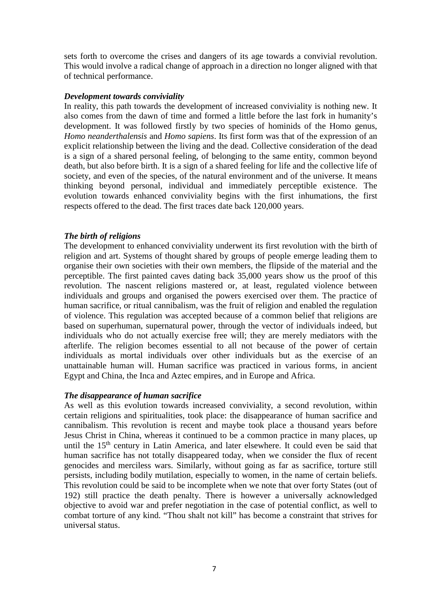sets forth to overcome the crises and dangers of its age towards a convivial revolution. This would involve a radical change of approach in a direction no longer aligned with that of technical performance.

#### *Development towards conviviality*

In reality, this path towards the development of increased conviviality is nothing new. It also comes from the dawn of time and formed a little before the last fork in humanity's development. It was followed firstly by two species of hominids of the Homo genus, *Homo neanderthalensis* and *Homo sapiens*. Its first form was that of the expression of an explicit relationship between the living and the dead. Collective consideration of the dead is a sign of a shared personal feeling, of belonging to the same entity, common beyond death, but also before birth. It is a sign of a shared feeling for life and the collective life of society, and even of the species, of the natural environment and of the universe. It means thinking beyond personal, individual and immediately perceptible existence. The evolution towards enhanced conviviality begins with the first inhumations, the first respects offered to the dead. The first traces date back 120,000 years.

## *The birth of religions*

The development to enhanced conviviality underwent its first revolution with the birth of religion and art. Systems of thought shared by groups of people emerge leading them to organise their own societies with their own members, the flipside of the material and the perceptible. The first painted caves dating back 35,000 years show us the proof of this revolution. The nascent religions mastered or, at least, regulated violence between individuals and groups and organised the powers exercised over them. The practice of human sacrifice, or ritual cannibalism, was the fruit of religion and enabled the regulation of violence. This regulation was accepted because of a common belief that religions are based on superhuman, supernatural power, through the vector of individuals indeed, but individuals who do not actually exercise free will; they are merely mediators with the afterlife. The religion becomes essential to all not because of the power of certain individuals as mortal individuals over other individuals but as the exercise of an unattainable human will. Human sacrifice was practiced in various forms, in ancient Egypt and China, the Inca and Aztec empires, and in Europe and Africa.

## *The disappearance of human sacrifice*

As well as this evolution towards increased conviviality, a second revolution, within certain religions and spiritualities, took place: the disappearance of human sacrifice and cannibalism. This revolution is recent and maybe took place a thousand years before Jesus Christ in China, whereas it continued to be a common practice in many places, up until the  $15<sup>th</sup>$  century in Latin America, and later elsewhere. It could even be said that human sacrifice has not totally disappeared today, when we consider the flux of recent genocides and merciless wars. Similarly, without going as far as sacrifice, torture still persists, including bodily mutilation, especially to women, in the name of certain beliefs. This revolution could be said to be incomplete when we note that over forty States (out of 192) still practice the death penalty. There is however a universally acknowledged objective to avoid war and prefer negotiation in the case of potential conflict, as well to combat torture of any kind. "Thou shalt not kill" has become a constraint that strives for universal status.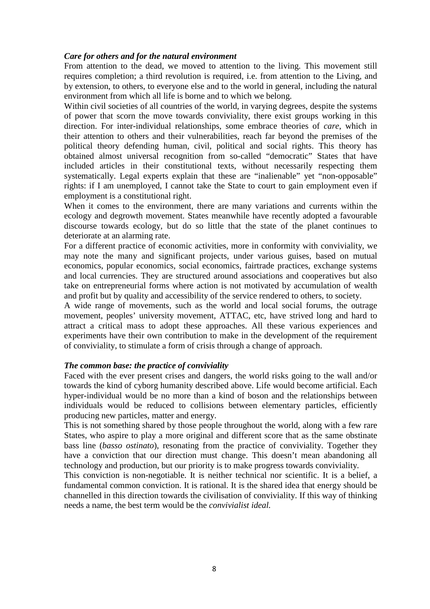#### *Care for others and for the natural environment*

From attention to the dead, we moved to attention to the living. This movement still requires completion; a third revolution is required, i.e. from attention to the Living, and by extension, to others, to everyone else and to the world in general, including the natural environment from which all life is borne and to which we belong.

Within civil societies of all countries of the world, in varying degrees, despite the systems of power that scorn the move towards conviviality, there exist groups working in this direction. For inter-individual relationships, some embrace theories of *care*, which in their attention to others and their vulnerabilities, reach far beyond the premises of the political theory defending human, civil, political and social rights. This theory has obtained almost universal recognition from so-called "democratic" States that have included articles in their constitutional texts, without necessarily respecting them systematically. Legal experts explain that these are "inalienable" yet "non-opposable" rights: if I am unemployed, I cannot take the State to court to gain employment even if employment is a constitutional right.

When it comes to the environment, there are many variations and currents within the ecology and degrowth movement. States meanwhile have recently adopted a favourable discourse towards ecology, but do so little that the state of the planet continues to deteriorate at an alarming rate.

For a different practice of economic activities, more in conformity with conviviality, we may note the many and significant projects, under various guises, based on mutual economics, popular economics, social economics, fairtrade practices, exchange systems and local currencies. They are structured around associations and cooperatives but also take on entrepreneurial forms where action is not motivated by accumulation of wealth and profit but by quality and accessibility of the service rendered to others, to society.

A wide range of movements, such as the world and local social forums, the outrage movement, peoples' university movement, ATTAC, etc, have strived long and hard to attract a critical mass to adopt these approaches. All these various experiences and experiments have their own contribution to make in the development of the requirement of conviviality, to stimulate a form of crisis through a change of approach.

## *The common base: the practice of conviviality*

Faced with the ever present crises and dangers, the world risks going to the wall and/or towards the kind of cyborg humanity described above. Life would become artificial. Each hyper-individual would be no more than a kind of boson and the relationships between individuals would be reduced to collisions between elementary particles, efficiently producing new particles, matter and energy.

This is not something shared by those people throughout the world, along with a few rare States, who aspire to play a more original and different score that as the same obstinate bass line (*basso ostinato*), resonating from the practice of conviviality. Together they have a conviction that our direction must change. This doesn't mean abandoning all technology and production, but our priority is to make progress towards conviviality.

This conviction is non-negotiable. It is neither technical nor scientific. It is a belief, a fundamental common conviction. It is rational. It is the shared idea that energy should be channelled in this direction towards the civilisation of conviviality. If this way of thinking needs a name, the best term would be the *convivialist ideal.*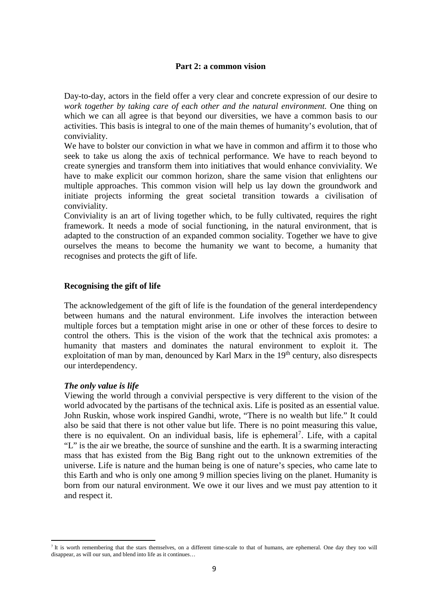#### **Part 2: a common vision**

Day-to-day, actors in the field offer a very clear and concrete expression of our desire to *work together by taking care of each other and the natural environment.* One thing on which we can all agree is that beyond our diversities, we have a common basis to our activities. This basis is integral to one of the main themes of humanity's evolution, that of conviviality.

We have to bolster our conviction in what we have in common and affirm it to those who seek to take us along the axis of technical performance. We have to reach beyond to create synergies and transform them into initiatives that would enhance conviviality. We have to make explicit our common horizon, share the same vision that enlightens our multiple approaches. This common vision will help us lay down the groundwork and initiate projects informing the great societal transition towards a civilisation of conviviality.

Conviviality is an art of living together which, to be fully cultivated, requires the right framework. It needs a mode of social functioning, in the natural environment, that is adapted to the construction of an expanded common sociality. Together we have to give ourselves the means to become the humanity we want to become, a humanity that recognises and protects the gift of life.

## **Recognising the gift of life**

The acknowledgement of the gift of life is the foundation of the general interdependency between humans and the natural environment. Life involves the interaction between multiple forces but a temptation might arise in one or other of these forces to desire to control the others. This is the vision of the work that the technical axis promotes: a humanity that masters and dominates the natural environment to exploit it. The exploitation of man by man, denounced by Karl Marx in the 19<sup>th</sup> century, also disrespects our interdependency.

#### *The only value is life*

 $\overline{a}$ 

Viewing the world through a convivial perspective is very different to the vision of the world advocated by the partisans of the technical axis. Life is posited as an essential value. John Ruskin, whose work inspired Gandhi, wrote, "There is no wealth but life." It could also be said that there is not other value but life. There is no point measuring this value, there is no equivalent. On an individual basis, life is ephemeral<sup>7</sup>. Life, with a capital "L" is the air we breathe, the source of sunshine and the earth. It is a swarming interacting mass that has existed from the Big Bang right out to the unknown extremities of the universe. Life is nature and the human being is one of nature's species, who came late to this Earth and who is only one among 9 million species living on the planet. Humanity is born from our natural environment. We owe it our lives and we must pay attention to it and respect it.

 $<sup>7</sup>$  It is worth remembering that the stars themselves, on a different time-scale to that of humans, are ephemeral. One day they too will</sup> disappear, as will our sun, and blend into life as it continues…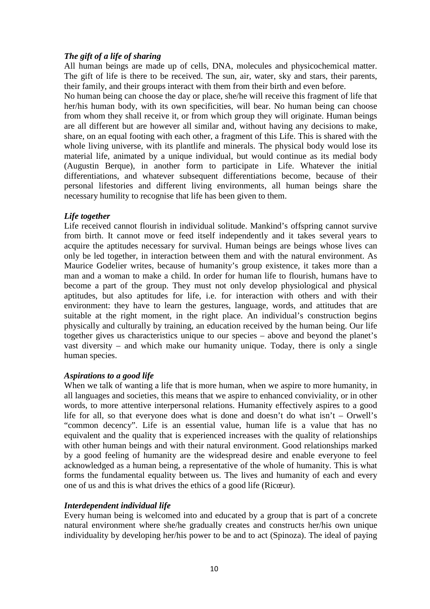# *The gift of a life of sharing*

All human beings are made up of cells, DNA, molecules and physicochemical matter. The gift of life is there to be received. The sun, air, water, sky and stars, their parents, their family, and their groups interact with them from their birth and even before.

No human being can choose the day or place, she/he will receive this fragment of life that her/his human body, with its own specificities, will bear. No human being can choose from whom they shall receive it, or from which group they will originate. Human beings are all different but are however all similar and, without having any decisions to make, share, on an equal footing with each other, a fragment of this Life. This is shared with the whole living universe, with its plantlife and minerals. The physical body would lose its material life, animated by a unique individual, but would continue as its medial body (Augustin Berque), in another form to participate in Life. Whatever the initial differentiations, and whatever subsequent differentiations become, because of their personal lifestories and different living environments, all human beings share the necessary humility to recognise that life has been given to them.

# *Life together*

Life received cannot flourish in individual solitude. Mankind's offspring cannot survive from birth. It cannot move or feed itself independently and it takes several years to acquire the aptitudes necessary for survival. Human beings are beings whose lives can only be led together, in interaction between them and with the natural environment. As Maurice Godelier writes, because of humanity's group existence, it takes more than a man and a woman to make a child. In order for human life to flourish, humans have to become a part of the group. They must not only develop physiological and physical aptitudes, but also aptitudes for life, i.e. for interaction with others and with their environment: they have to learn the gestures, language, words, and attitudes that are suitable at the right moment, in the right place. An individual's construction begins physically and culturally by training, an education received by the human being. Our life together gives us characteristics unique to our species – above and beyond the planet's vast diversity – and which make our humanity unique. Today, there is only a single human species.

## *Aspirations to a good life*

When we talk of wanting a life that is more human, when we aspire to more humanity, in all languages and societies, this means that we aspire to enhanced conviviality, or in other words, to more attentive interpersonal relations. Humanity effectively aspires to a good life for all, so that everyone does what is done and doesn't do what  $\sin't -$  Orwell's "common decency". Life is an essential value, human life is a value that has no equivalent and the quality that is experienced increases with the quality of relationships with other human beings and with their natural environment. Good relationships marked by a good feeling of humanity are the widespread desire and enable everyone to feel acknowledged as a human being, a representative of the whole of humanity. This is what forms the fundamental equality between us. The lives and humanity of each and every one of us and this is what drives the ethics of a good life (Ricœur).

## *Interdependent individual life*

Every human being is welcomed into and educated by a group that is part of a concrete natural environment where she/he gradually creates and constructs her/his own unique individuality by developing her/his power to be and to act (Spinoza). The ideal of paying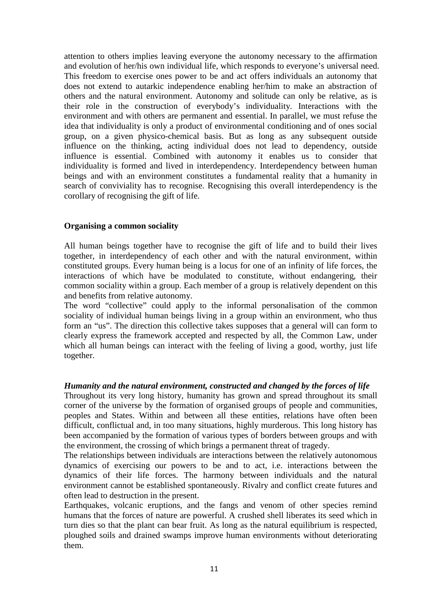attention to others implies leaving everyone the autonomy necessary to the affirmation and evolution of her/his own individual life, which responds to everyone's universal need. This freedom to exercise ones power to be and act offers individuals an autonomy that does not extend to autarkic independence enabling her/him to make an abstraction of others and the natural environment. Autonomy and solitude can only be relative, as is their role in the construction of everybody's individuality. Interactions with the environment and with others are permanent and essential. In parallel, we must refuse the idea that individuality is only a product of environmental conditioning and of ones social group, on a given physico-chemical basis. But as long as any subsequent outside influence on the thinking, acting individual does not lead to dependency, outside influence is essential. Combined with autonomy it enables us to consider that individuality is formed and lived in interdependency. Interdependency between human beings and with an environment constitutes a fundamental reality that a humanity in search of conviviality has to recognise. Recognising this overall interdependency is the corollary of recognising the gift of life.

## **Organising a common sociality**

All human beings together have to recognise the gift of life and to build their lives together, in interdependency of each other and with the natural environment, within constituted groups. Every human being is a locus for one of an infinity of life forces, the interactions of which have be modulated to constitute, without endangering, their common sociality within a group. Each member of a group is relatively dependent on this and benefits from relative autonomy.

The word "collective" could apply to the informal personalisation of the common sociality of individual human beings living in a group within an environment, who thus form an "us". The direction this collective takes supposes that a general will can form to clearly express the framework accepted and respected by all, the Common Law, under which all human beings can interact with the feeling of living a good, worthy, just life together.

## *Humanity and the natural environment, constructed and changed by the forces of life*

Throughout its very long history, humanity has grown and spread throughout its small corner of the universe by the formation of organised groups of people and communities, peoples and States. Within and between all these entities, relations have often been difficult, conflictual and, in too many situations, highly murderous. This long history has been accompanied by the formation of various types of borders between groups and with the environment, the crossing of which brings a permanent threat of tragedy.

The relationships between individuals are interactions between the relatively autonomous dynamics of exercising our powers to be and to act, i.e. interactions between the dynamics of their life forces. The harmony between individuals and the natural environment cannot be established spontaneously. Rivalry and conflict create futures and often lead to destruction in the present.

Earthquakes, volcanic eruptions, and the fangs and venom of other species remind humans that the forces of nature are powerful. A crushed shell liberates its seed which in turn dies so that the plant can bear fruit. As long as the natural equilibrium is respected, ploughed soils and drained swamps improve human environments without deteriorating them.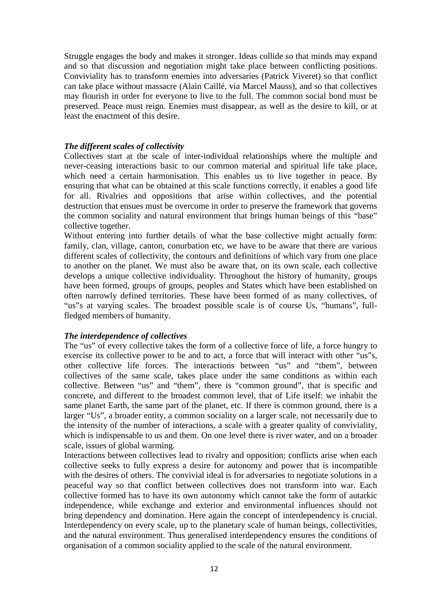Struggle engages the body and makes it stronger. Ideas collide so that minds may expand and so that discussion and negotiation might take place between conflicting positions. Conviviality has to transform enemies into adversaries (Patrick Viveret) so that conflict can take place without massacre (Alain Caillé, via Marcel Mauss), and so that collectives may flourish in order for everyone to live to the full. The common social bond must be preserved. Peace must reign. Enemies must disappear, as well as the desire to kill, or at least the enactment of this desire.

#### *The different scales of collectivity*

Collectives start at the scale of inter-individual relationships where the multiple and never-ceasing interactions basic to our common material and spiritual life take place, which need a certain harmonisation. This enables us to live together in peace. By ensuring that what can be obtained at this scale functions correctly, it enables a good life for all. Rivalries and oppositions that arise within collectives, and the potential destruction that ensues must be overcome in order to preserve the framework that governs the common sociality and natural environment that brings human beings of this "base" collective together.

Without entering into further details of what the base collective might actually form: family, clan, village, canton, conurbation etc, we have to be aware that there are various different scales of collectivity, the contours and definitions of which vary from one place to another on the planet. We must also be aware that, on its own scale, each collective develops a unique collective individuality. Throughout the history of humanity, groups have been formed, groups of groups, peoples and States which have been established on often narrowly defined territories. These have been formed of as many collectives, of "us"s at varying scales. The broadest possible scale is of course Us, "humans", fullfledged members of humanity.

#### *The interdependence of collectives*

The "us" of every collective takes the form of a collective force of life, a force hungry to exercise its collective power to be and to act, a force that will interact with other "us"s, other collective life forces. The interactions between "us" and "them", between collectives of the same scale, takes place under the same conditions as within each collective. Between "us" and "them", there is "common ground", that is specific and concrete, and different to the broadest common level, that of Life itself: we inhabit the same planet Earth, the same part of the planet, etc. If there is common ground, there is a larger "Us", a broader entity, a common sociality on a larger scale, not necessarily due to the intensity of the number of interactions, a scale with a greater quality of conviviality, which is indispensable to us and them. On one level there is river water, and on a broader scale, issues of global warming.

Interactions between collectives lead to rivalry and opposition; conflicts arise when each collective seeks to fully express a desire for autonomy and power that is incompatible with the desires of others. The convivial ideal is for adversaries to negotiate solutions in a peaceful way so that conflict between collectives does not transform into war. Each collective formed has to have its own autonomy which cannot take the form of autarkic independence, while exchange and exterior and environmental influences should not bring dependency and domination. Here again the concept of interdependency is crucial. Interdependency on every scale, up to the planetary scale of human beings, collectivities, and the natural environment. Thus generalised interdependency ensures the conditions of organisation of a common sociality applied to the scale of the natural environment.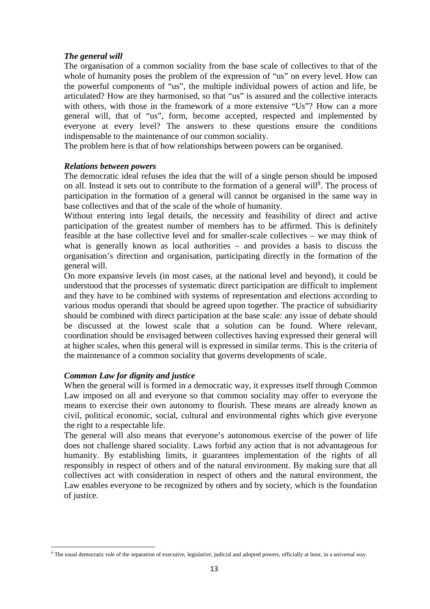## *The general will*

The organisation of a common sociality from the base scale of collectives to that of the whole of humanity poses the problem of the expression of "us" on every level. How can the powerful components of "us", the multiple individual powers of action and life, be articulated? How are they harmonised, so that "us" is assured and the collective interacts with others, with those in the framework of a more extensive "Us"? How can a more general will, that of "us", form, become accepted, respected and implemented by everyone at every level? The answers to these questions ensure the conditions indispensable to the maintenance of our common sociality.

The problem here is that of how relationships between powers can be organised.

#### *Relations between powers*

The democratic ideal refuses the idea that the will of a single person should be imposed on all. Instead it sets out to contribute to the formation of a general will<sup>8</sup>. The process of participation in the formation of a general will cannot be organised in the same way in base collectives and that of the scale of the whole of humanity.

Without entering into legal details, the necessity and feasibility of direct and active participation of the greatest number of members has to be affirmed. This is definitely feasible at the base collective level and for smaller-scale collectives – we may think of what is generally known as local authorities – and provides a basis to discuss the organisation's direction and organisation, participating directly in the formation of the general will.

On more expansive levels (in most cases, at the national level and beyond), it could be understood that the processes of systematic direct participation are difficult to implement and they have to be combined with systems of representation and elections according to various modus operandi that should be agreed upon together. The practice of subsidiarity should be combined with direct participation at the base scale: any issue of debate should be discussed at the lowest scale that a solution can be found. Where relevant, coordination should be envisaged between collectives having expressed their general will at higher scales, when this general will is expressed in similar terms. This is the criteria of the maintenance of a common sociality that governs developments of scale.

## *Common Law for dignity and justice*

l

When the general will is formed in a democratic way, it expresses itself through Common Law imposed on all and everyone so that common sociality may offer to everyone the means to exercise their own autonomy to flourish. These means are already known as civil, political economic, social, cultural and environmental rights which give everyone the right to a respectable life.

The general will also means that everyone's autonomous exercise of the power of life does not challenge shared sociality. Laws forbid any action that is not advantageous for humanity. By establishing limits, it guarantees implementation of the rights of all responsibly in respect of others and of the natural environment. By making sure that all collectives act with consideration in respect of others and the natural environment, the Law enables everyone to be recognized by others and by society, which is the foundation of justice.

<sup>&</sup>lt;sup>8</sup> The usual democratic rule of the separation of executive, legislative, judicial and adopted powers, officially at least, in a universal way.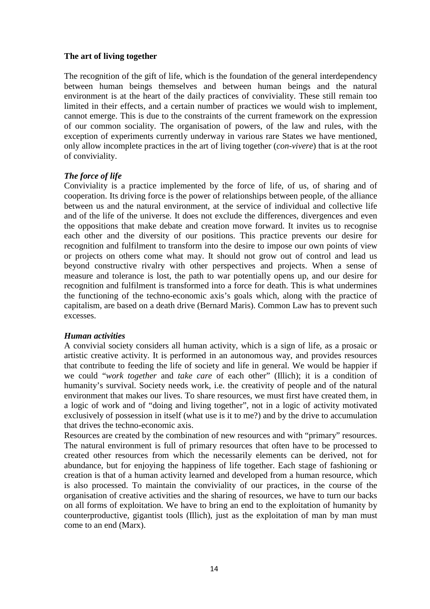## **The art of living together**

The recognition of the gift of life, which is the foundation of the general interdependency between human beings themselves and between human beings and the natural environment is at the heart of the daily practices of conviviality. These still remain too limited in their effects, and a certain number of practices we would wish to implement, cannot emerge. This is due to the constraints of the current framework on the expression of our common sociality. The organisation of powers, of the law and rules, with the exception of experiments currently underway in various rare States we have mentioned, only allow incomplete practices in the art of living together (*con-vivere*) that is at the root of conviviality.

# *The force of life*

Conviviality is a practice implemented by the force of life, of us, of sharing and of cooperation. Its driving force is the power of relationships between people, of the alliance between us and the natural environment, at the service of individual and collective life and of the life of the universe. It does not exclude the differences, divergences and even the oppositions that make debate and creation move forward. It invites us to recognise each other and the diversity of our positions. This practice prevents our desire for recognition and fulfilment to transform into the desire to impose our own points of view or projects on others come what may. It should not grow out of control and lead us beyond constructive rivalry with other perspectives and projects. When a sense of measure and tolerance is lost, the path to war potentially opens up, and our desire for recognition and fulfilment is transformed into a force for death. This is what undermines the functioning of the techno-economic axis's goals which, along with the practice of capitalism, are based on a death drive (Bernard Maris). Common Law has to prevent such excesses.

# *Human activities*

A convivial society considers all human activity, which is a sign of life, as a prosaic or artistic creative activity. It is performed in an autonomous way, and provides resources that contribute to feeding the life of society and life in general. We would be happier if we could "*work together* and *take care* of each other" (Illich); it is a condition of humanity's survival. Society needs work, i.e. the creativity of people and of the natural environment that makes our lives. To share resources, we must first have created them, in a logic of work and of "doing and living together", not in a logic of activity motivated exclusively of possession in itself (what use is it to me?) and by the drive to accumulation that drives the techno-economic axis.

Resources are created by the combination of new resources and with "primary" resources. The natural environment is full of primary resources that often have to be processed to created other resources from which the necessarily elements can be derived, not for abundance, but for enjoying the happiness of life together. Each stage of fashioning or creation is that of a human activity learned and developed from a human resource, which is also processed. To maintain the conviviality of our practices, in the course of the organisation of creative activities and the sharing of resources, we have to turn our backs on all forms of exploitation. We have to bring an end to the exploitation of humanity by counterproductive, gigantist tools (Illich), just as the exploitation of man by man must come to an end (Marx).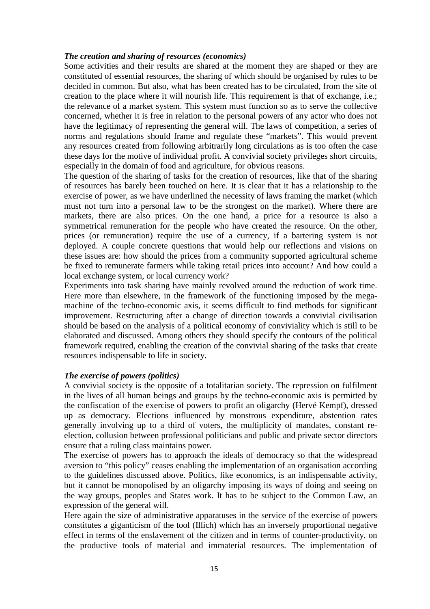#### *The creation and sharing of resources (economics)*

Some activities and their results are shared at the moment they are shaped or they are constituted of essential resources, the sharing of which should be organised by rules to be decided in common. But also, what has been created has to be circulated, from the site of creation to the place where it will nourish life. This requirement is that of exchange, i.e.; the relevance of a market system. This system must function so as to serve the collective concerned, whether it is free in relation to the personal powers of any actor who does not have the legitimacy of representing the general will. The laws of competition, a series of norms and regulations should frame and regulate these "markets". This would prevent any resources created from following arbitrarily long circulations as is too often the case these days for the motive of individual profit. A convivial society privileges short circuits, especially in the domain of food and agriculture, for obvious reasons.

The question of the sharing of tasks for the creation of resources, like that of the sharing of resources has barely been touched on here. It is clear that it has a relationship to the exercise of power, as we have underlined the necessity of laws framing the market (which must not turn into a personal law to be the strongest on the market). Where there are markets, there are also prices. On the one hand, a price for a resource is also a symmetrical remuneration for the people who have created the resource. On the other, prices (or remuneration) require the use of a currency, if a bartering system is not deployed. A couple concrete questions that would help our reflections and visions on these issues are: how should the prices from a community supported agricultural scheme be fixed to remunerate farmers while taking retail prices into account? And how could a local exchange system, or local currency work?

Experiments into task sharing have mainly revolved around the reduction of work time. Here more than elsewhere, in the framework of the functioning imposed by the megamachine of the techno-economic axis, it seems difficult to find methods for significant improvement. Restructuring after a change of direction towards a convivial civilisation should be based on the analysis of a political economy of conviviality which is still to be elaborated and discussed. Among others they should specify the contours of the political framework required, enabling the creation of the convivial sharing of the tasks that create resources indispensable to life in society.

## *The exercise of powers (politics)*

A convivial society is the opposite of a totalitarian society. The repression on fulfilment in the lives of all human beings and groups by the techno-economic axis is permitted by the confiscation of the exercise of powers to profit an oligarchy (Hervé Kempf), dressed up as democracy. Elections influenced by monstrous expenditure, abstention rates generally involving up to a third of voters, the multiplicity of mandates, constant reelection, collusion between professional politicians and public and private sector directors ensure that a ruling class maintains power.

The exercise of powers has to approach the ideals of democracy so that the widespread aversion to "this policy" ceases enabling the implementation of an organisation according to the guidelines discussed above. Politics, like economics, is an indispensable activity, but it cannot be monopolised by an oligarchy imposing its ways of doing and seeing on the way groups, peoples and States work. It has to be subject to the Common Law, an expression of the general will.

Here again the size of administrative apparatuses in the service of the exercise of powers constitutes a giganticism of the tool (Illich) which has an inversely proportional negative effect in terms of the enslavement of the citizen and in terms of counter-productivity, on the productive tools of material and immaterial resources. The implementation of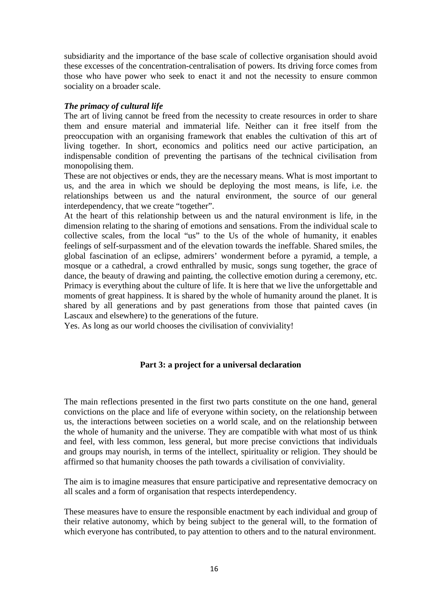subsidiarity and the importance of the base scale of collective organisation should avoid these excesses of the concentration-centralisation of powers. Its driving force comes from those who have power who seek to enact it and not the necessity to ensure common sociality on a broader scale.

## *The primacy of cultural life*

The art of living cannot be freed from the necessity to create resources in order to share them and ensure material and immaterial life. Neither can it free itself from the preoccupation with an organising framework that enables the cultivation of this art of living together. In short, economics and politics need our active participation, an indispensable condition of preventing the partisans of the technical civilisation from monopolising them.

These are not objectives or ends, they are the necessary means. What is most important to us, and the area in which we should be deploying the most means, is life, i.e. the relationships between us and the natural environment, the source of our general interdependency, that we create "together".

At the heart of this relationship between us and the natural environment is life, in the dimension relating to the sharing of emotions and sensations. From the individual scale to collective scales, from the local "us" to the Us of the whole of humanity, it enables feelings of self-surpassment and of the elevation towards the ineffable. Shared smiles, the global fascination of an eclipse, admirers' wonderment before a pyramid, a temple, a mosque or a cathedral, a crowd enthralled by music, songs sung together, the grace of dance, the beauty of drawing and painting, the collective emotion during a ceremony, etc. Primacy is everything about the culture of life. It is here that we live the unforgettable and moments of great happiness. It is shared by the whole of humanity around the planet. It is shared by all generations and by past generations from those that painted caves (in Lascaux and elsewhere) to the generations of the future.

Yes. As long as our world chooses the civilisation of conviviality!

# **Part 3: a project for a universal declaration**

The main reflections presented in the first two parts constitute on the one hand, general convictions on the place and life of everyone within society, on the relationship between us, the interactions between societies on a world scale, and on the relationship between the whole of humanity and the universe. They are compatible with what most of us think and feel, with less common, less general, but more precise convictions that individuals and groups may nourish, in terms of the intellect, spirituality or religion. They should be affirmed so that humanity chooses the path towards a civilisation of conviviality.

The aim is to imagine measures that ensure participative and representative democracy on all scales and a form of organisation that respects interdependency.

These measures have to ensure the responsible enactment by each individual and group of their relative autonomy, which by being subject to the general will, to the formation of which everyone has contributed, to pay attention to others and to the natural environment.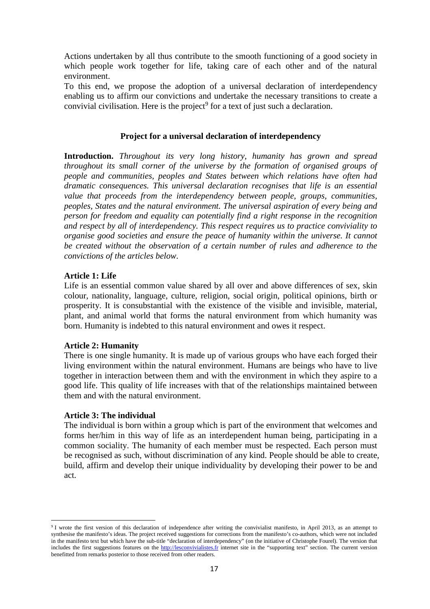Actions undertaken by all thus contribute to the smooth functioning of a good society in which people work together for life, taking care of each other and of the natural environment.

To this end, we propose the adoption of a universal declaration of interdependency enabling us to affirm our convictions and undertake the necessary transitions to create a convivial civilisation. Here is the project<sup>9</sup> for a text of just such a declaration.

#### **Project for a universal declaration of interdependency**

**Introduction.** *Throughout its very long history, humanity has grown and spread throughout its small corner of the universe by the formation of organised groups of people and communities, peoples and States between which relations have often had dramatic consequences. This universal declaration recognises that life is an essential value that proceeds from the interdependency between people, groups, communities, peoples, States and the natural environment. The universal aspiration of every being and person for freedom and equality can potentially find a right response in the recognition and respect by all of interdependency. This respect requires us to practice conviviality to organise good societies and ensure the peace of humanity within the universe. It cannot be created without the observation of a certain number of rules and adherence to the convictions of the articles below.*

#### **Article 1: Life**

Life is an essential common value shared by all over and above differences of sex, skin colour, nationality, language, culture, religion, social origin, political opinions, birth or prosperity. It is consubstantial with the existence of the visible and invisible, material, plant, and animal world that forms the natural environment from which humanity was born. Humanity is indebted to this natural environment and owes it respect.

## **Article 2: Humanity**

There is one single humanity. It is made up of various groups who have each forged their living environment within the natural environment. Humans are beings who have to live together in interaction between them and with the environment in which they aspire to a good life. This quality of life increases with that of the relationships maintained between them and with the natural environment.

#### **Article 3: The individual**

l

The individual is born within a group which is part of the environment that welcomes and forms her/him in this way of life as an interdependent human being, participating in a common sociality. The humanity of each member must be respected. Each person must be recognised as such, without discrimination of any kind. People should be able to create, build, affirm and develop their unique individuality by developing their power to be and act.

<sup>&</sup>lt;sup>9</sup> I wrote the first version of this declaration of independence after writing the convivialist manifesto, in April 2013, as an attempt to synthesise the manifesto's ideas. The project received suggestions for corrections from the manifesto's co-authors, which were not included in the manifesto text but which have the sub-title "declaration of interdependency" (on the initiative of Christophe Fourel). The version that includes the first suggestions features on the http://lesconvivialistes.fr internet site in the "supporting text" section. The current version benefitted from remarks posterior to those received from other readers.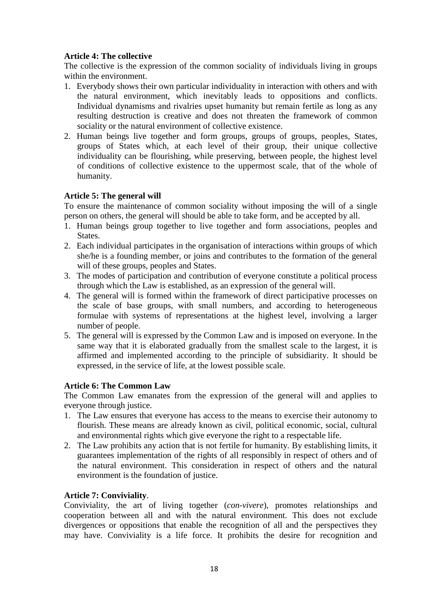# **Article 4: The collective**

The collective is the expression of the common sociality of individuals living in groups within the environment.

- 1. Everybody shows their own particular individuality in interaction with others and with the natural environment, which inevitably leads to oppositions and conflicts. Individual dynamisms and rivalries upset humanity but remain fertile as long as any resulting destruction is creative and does not threaten the framework of common sociality or the natural environment of collective existence.
- 2. Human beings live together and form groups, groups of groups, peoples, States, groups of States which, at each level of their group, their unique collective individuality can be flourishing, while preserving, between people, the highest level of conditions of collective existence to the uppermost scale, that of the whole of humanity.

# **Article 5: The general will**

To ensure the maintenance of common sociality without imposing the will of a single person on others, the general will should be able to take form, and be accepted by all.

- 1. Human beings group together to live together and form associations, peoples and States.
- 2. Each individual participates in the organisation of interactions within groups of which she/he is a founding member, or joins and contributes to the formation of the general will of these groups, peoples and States.
- 3. The modes of participation and contribution of everyone constitute a political process through which the Law is established, as an expression of the general will.
- 4. The general will is formed within the framework of direct participative processes on the scale of base groups, with small numbers, and according to heterogeneous formulae with systems of representations at the highest level, involving a larger number of people.
- 5. The general will is expressed by the Common Law and is imposed on everyone. In the same way that it is elaborated gradually from the smallest scale to the largest, it is affirmed and implemented according to the principle of subsidiarity. It should be expressed, in the service of life, at the lowest possible scale.

# **Article 6: The Common Law**

The Common Law emanates from the expression of the general will and applies to everyone through justice.

- 1. The Law ensures that everyone has access to the means to exercise their autonomy to flourish. These means are already known as civil, political economic, social, cultural and environmental rights which give everyone the right to a respectable life.
- 2. The Law prohibits any action that is not fertile for humanity. By establishing limits, it guarantees implementation of the rights of all responsibly in respect of others and of the natural environment. This consideration in respect of others and the natural environment is the foundation of justice.

# **Article 7: Conviviality**.

Conviviality, the art of living together (*con-vivere*), promotes relationships and cooperation between all and with the natural environment. This does not exclude divergences or oppositions that enable the recognition of all and the perspectives they may have. Conviviality is a life force. It prohibits the desire for recognition and